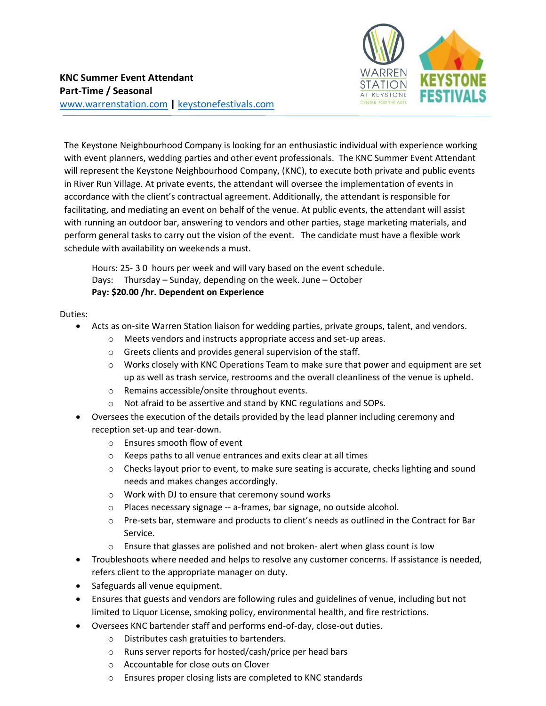

The Keystone Neighbourhood Company is looking for an enthusiastic individual with experience working with event planners, wedding parties and other event professionals. The KNC Summer Event Attendant will represent the Keystone Neighbourhood Company, (KNC), to execute both private and public events in River Run Village. At private events, the attendant will oversee the implementation of events in accordance with the client's contractual agreement. Additionally, the attendant is responsible for facilitating, and mediating an event on behalf of the venue. At public events, the attendant will assist with running an outdoor bar, answering to vendors and other parties, stage marketing materials, and perform general tasks to carry out the vision of the event. The candidate must have a flexible work schedule with availability on weekends a must.

Hours: 25- 3 0 hours per week and will vary based on the event schedule. Days: Thursday – Sunday, depending on the week. June – October  **Pay: \$20.00 /hr. Dependent on Experience**

Duties:

- Acts as on-site Warren Station liaison for wedding parties, private groups, talent, and vendors.
	- o Meets vendors and instructs appropriate access and set-up areas.
	- o Greets clients and provides general supervision of the staff.
	- $\circ$  Works closely with KNC Operations Team to make sure that power and equipment are set up as well as trash service, restrooms and the overall cleanliness of the venue is upheld.
	- o Remains accessible/onsite throughout events.
	- o Not afraid to be assertive and stand by KNC regulations and SOPs.
- Oversees the execution of the details provided by the lead planner including ceremony and reception set-up and tear-down.
	- o Ensures smooth flow of event
	- o Keeps paths to all venue entrances and exits clear at all times
	- o Checks layout prior to event, to make sure seating is accurate, checks lighting and sound needs and makes changes accordingly.
	- o Work with DJ to ensure that ceremony sound works
	- o Places necessary signage -- a-frames, bar signage, no outside alcohol.
	- o Pre-sets bar, stemware and products to client's needs as outlined in the Contract for Bar Service.
	- o Ensure that glasses are polished and not broken- alert when glass count is low
- Troubleshoots where needed and helps to resolve any customer concerns. If assistance is needed, refers client to the appropriate manager on duty.
- Safeguards all venue equipment.
- Ensures that guests and vendors are following rules and guidelines of venue, including but not limited to Liquor License, smoking policy, environmental health, and fire restrictions.
- Oversees KNC bartender staff and performs end-of-day, close-out duties.
	- o Distributes cash gratuities to bartenders.
	- o Runs server reports for hosted/cash/price per head bars
	- o Accountable for close outs on Clover
	- o Ensures proper closing lists are completed to KNC standards